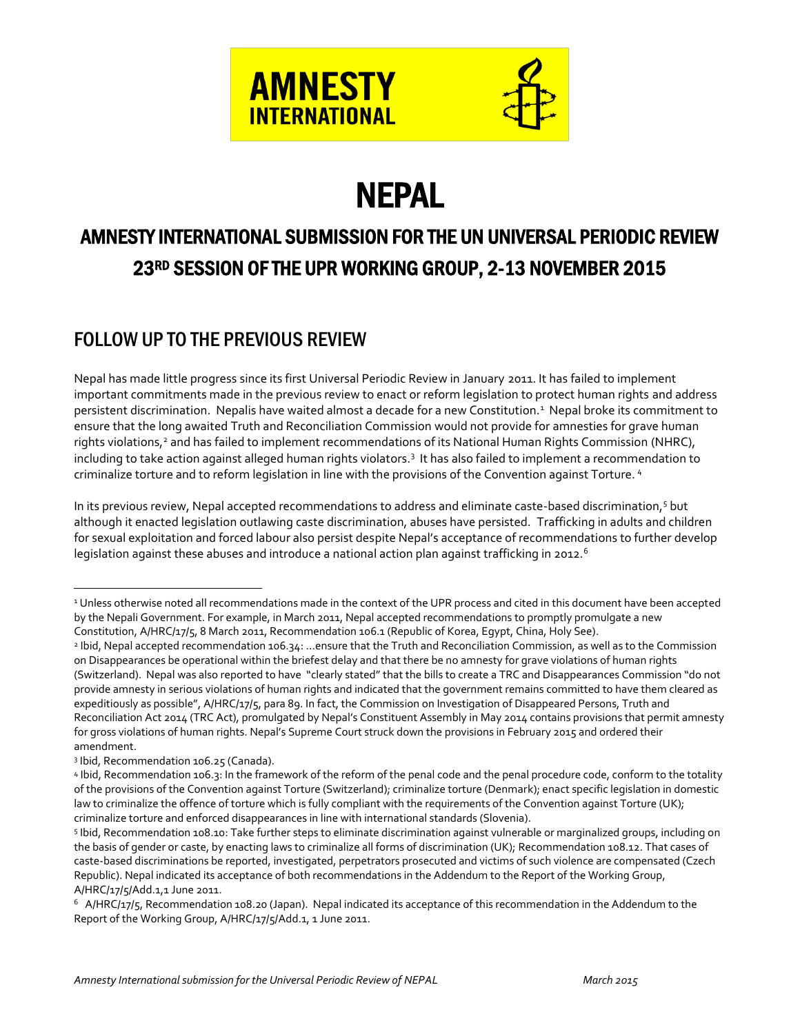

# **NEPAL FOR THE STATE REPAL**<br>AMNESTY INTERNATIONAL SUBMISSION FOR THE UN UNIVERSAL PERIODIC REVIEW 23RD SESSION OF THE UPR WORKING GROUP, 2-13 NOVEMBER 2015

# FOLLOW UP TO THE PREVIOUS REVIEW

Nepal has made little progress since its first Universal Periodic Review in January 2011. It has failed to implement important commitments made in the previous review to enact or reform legislation to protect human rights and address persistent discrimination. Nepalis have waited almost a decade for a new Constitution.<sup>1</sup> Nepal broke its commitment to ensure that the long awaited Truth and Reconciliation Commission would not provide for amnesties for grave human rights violations,<sup>2</sup> and has failed to implement recommendations of its National Human Rights Commission (NHRC), including to take action against alleged human rights violators.<sup>3</sup> It has also failed to implement a recommendation to criminalize torture and to reform legislation in line with the provisions of the Convention against Torture. <sup>4</sup>

In its previous review, Nepal accepted recommendations to address and eliminate caste-based discrimination,5 but although it enacted legislation outlawing caste discrimination, abuses have persisted. Trafficking in adults and children for sexual exploitation and forced labour also persist despite Nepal's acceptance of recommendations to further develop legislation against these abuses and introduce a national action plan against trafficking in 2012.<sup>6</sup>

 $\overline{a}$ 

<sup>&</sup>lt;sup>1</sup> Unless otherwise noted all recommendations made in the context of the UPR process and cited in this document have been accepted by the Nepali Government. For example, in March 2011, Nepal accepted recommendations to promptly promulgate a new Constitution, A/HRC/17/5, 8 March 2011, Recommendation 106.1 (Republic of Korea, Egypt, China, Holy See).

<sup>2</sup> Ibid, Nepal accepted recommendation 106.34: …ensure that the Truth and Reconciliation Commission, as well as to the Commission on Disappearances be operational within the briefest delay and that there be no amnesty for grave violations of human rights (Switzerland). Nepal was also reported to have "clearly stated" that the bills to create a TRC and Disappearances Commission "do not provide amnesty in serious violations of human rights and indicated that the government remains committed to have them cleared as expeditiously as possible", A/HRC/17/5, para 89. In fact, the Commission on Investigation of Disappeared Persons, Truth and Reconciliation Act 2014 (TRC Act), promulgated by Nepal's Constituent Assembly in May 2014 contains provisions that permit amnesty for gross violations of human rights. Nepal's Supreme Court struck down the provisions in February 2015 and ordered their amendment.

<sup>3</sup> Ibid, Recommendation 106.25 (Canada).<br>4 Ibid, Recommendation 106.3: In the framework of the reform of the penal code and the penal procedure code, conform to the totality of the provisions of the Convention against Torture (Switzerland); criminalize torture (Denmark); enact specific legislation in domestic law to criminalize the offence of torture which is fully compliant with the requirements of the Convention against Torture (UK);<br>criminalize torture and enforced disappearances in line with international standards (Sloveni

<sup>5</sup> Ibid, Recommendation 108.10: Take further steps to eliminate discrimination against vulnerable or marginalized groups, including on the basis of gender or caste, by enacting laws to criminalize all forms of discrimination (UK); Recommendation 108.12. That cases of caste-based discriminations be reported, investigated, perpetrators prosecuted and victims of such violence are compensated (Czech Republic). Nepal indicated its acceptance of both recommendations in the Addendum to the Report of the Working Group, A/HRC/17/5/Add.1,1 June 2011.

 $6$  A/HRC/17/5, Recommendation 108.20 (Japan). Nepal indicated its acceptance of this recommendation in the Addendum to the Report of the Working Group, A/HRC/17/5/Add.1, 1 June 2011.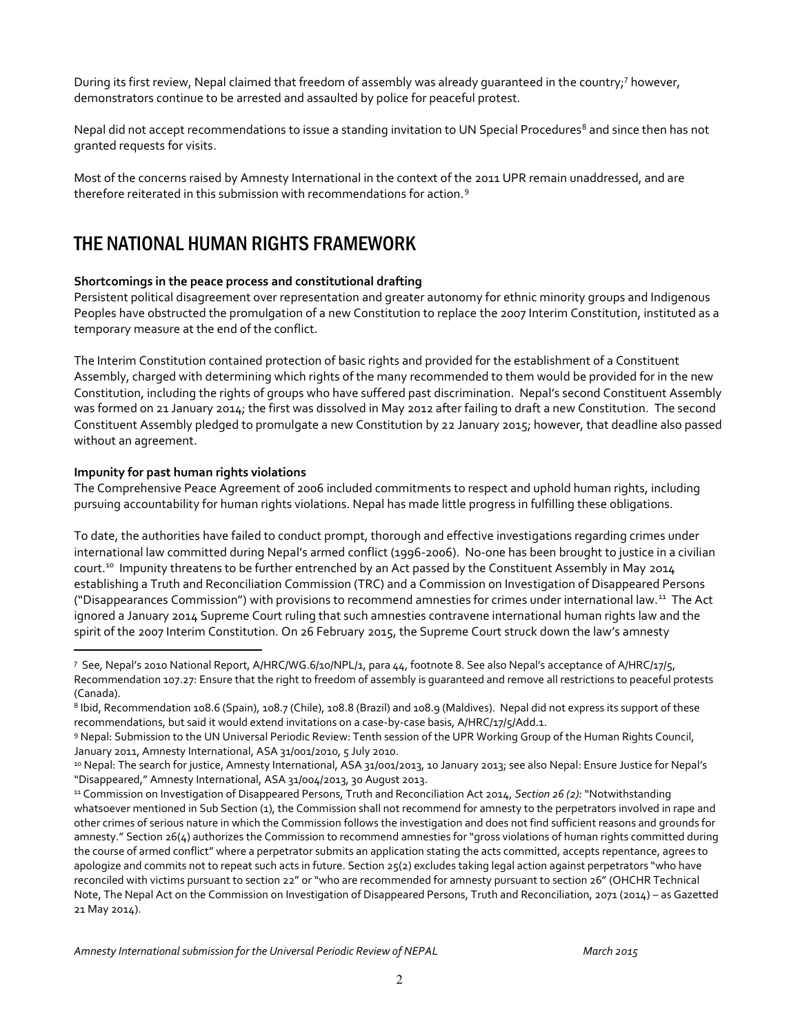During its first review, Nepal claimed that freedom of assembly was already guaranteed in the country;<sup>7</sup> however, demonstrators continue to be arrested and assaulted by police for peaceful protest.

Nepal did not accept recommendations to issue a standing invitation to UN Special Procedures<sup>8</sup> and since then has not granted requests for visits.

Most of the concerns raised by Amnesty International in the context of the 2011 UPR remain unaddressed, and are therefore reiterated in this submission with recommendations for action.9

## THE NATIONAL HUMAN RIGHTS FRAMEWORK

#### **Shortcomings in the peace process and constitutional drafting**

Persistent political disagreement over representation and greater autonomy for ethnic minority groups and Indigenous Peoples have obstructed the promulgation of a new Constitution to replace the 2007 Interim Constitution, instituted as a temporary measure at the end of the conflict.

The Interim Constitution contained protection of basic rights and provided for the establishment of a Constituent Assembly, charged with determining which rights of the many recommended to them would be provided for in the new Constitution, including the rights of groups who have suffered past discrimination. Nepal's second Constituent Assembly was formed on 21 January 2014; the first was dissolved in May 2012 after failing to draft a new Constitution. The second Constituent Assembly pledged to promulgate a new Constitution by 22 January 2015; however, that deadline also passed without an agreement.

#### **Impunity for past human rights violations**

 $\overline{a}$ 

The Comprehensive Peace Agreement of 2006 included commitments to respect and uphold human rights, including pursuing accountability for human rights violations. Nepal has made little progress in fulfilling these obligations.

To date, the authorities have failed to conduct prompt, thorough and effective investigations regarding crimes under international law committed during Nepal's armed conflict (1996-2006). No-one has been brought to justice in a civilian court.<sup>10</sup> Impunity threatens to be further entrenched by an Act passed by the Constituent Assembly in May 2014 establishing a Truth and Reconciliation Commission (TRC) and a Commission on Investigation of Disappeared Persons ("Disappearances Commission") with provisions to recommend amnesties for crimes under international law.11 The Act ignored a January 2014 Supreme Court ruling that such amnesties contravene international human rights law and the spirit of the 2007 Interim Constitution. On 26 February 2015, the Supreme Court struck down the law's amnesty

<sup>7</sup> See, Nepal's 2010 National Report, A/HRC/WG.6/10/NPL/1, para 44, footnote 8. See also Nepal's acceptance of A/HRC/17/5, Recommendation 107.27: Ensure that the right to freedom of assembly is guaranteed and remove all restrictions to peaceful protests (Canada).

<sup>8</sup> Ibid, Recommendation 108.6 (Spain), 108.7 (Chile), 108.8 (Brazil) and 108.9 (Maldives). Nepal did not express its support of these recommendations, but said it would extend invitations on a case-by-case basis, A/HRC/17/5/Add.1.<br>9 Nepal: Submission to the UN Universal Periodic Review: Tenth session of the UPR Working Group of the Human Rights Council,

January 2011, Amnesty International, ASA 31/001/2010, 5 July 2010.<br><sup>10</sup> Nepal: The search for justice, Amnesty International, ASA 31/001/2013, 10 January 2013; see also Nepal: Ensure Justice for Nepal's

<sup>&</sup>quot;Disappeared," Amnesty International, ASA 31/004/2013, 30 August 2013.

<sup>11</sup> Commission on Investigation of Disappeared Persons, Truth and Reconciliation Act 2014, *Section 26 (2):* "Notwithstanding whatsoever mentioned in Sub Section (1), the Commission shall not recommend for amnesty to the perpetrators involved in rape and other crimes of serious nature in which the Commission follows the investigation and does not find sufficient reasons and grounds for amnesty." Section 26(4) authorizes the Commission to recommend amnesties for "gross violations of human rights committed during the course of armed conflict" where a perpetrator submits an application stating the acts committed, accepts repentance, agrees to apologize and commits not to repeat such acts in future. Section 25(2) excludes taking legal action against perpetrators "who have reconciled with victims pursuant to section 22" or "who are recommended for amnesty pursuant to section 26" (OHCHR Technical Note, The Nepal Act on the Commission on Investigation of Disappeared Persons, Truth and Reconciliation, 2071 (2014) – as Gazetted 21 May 2014).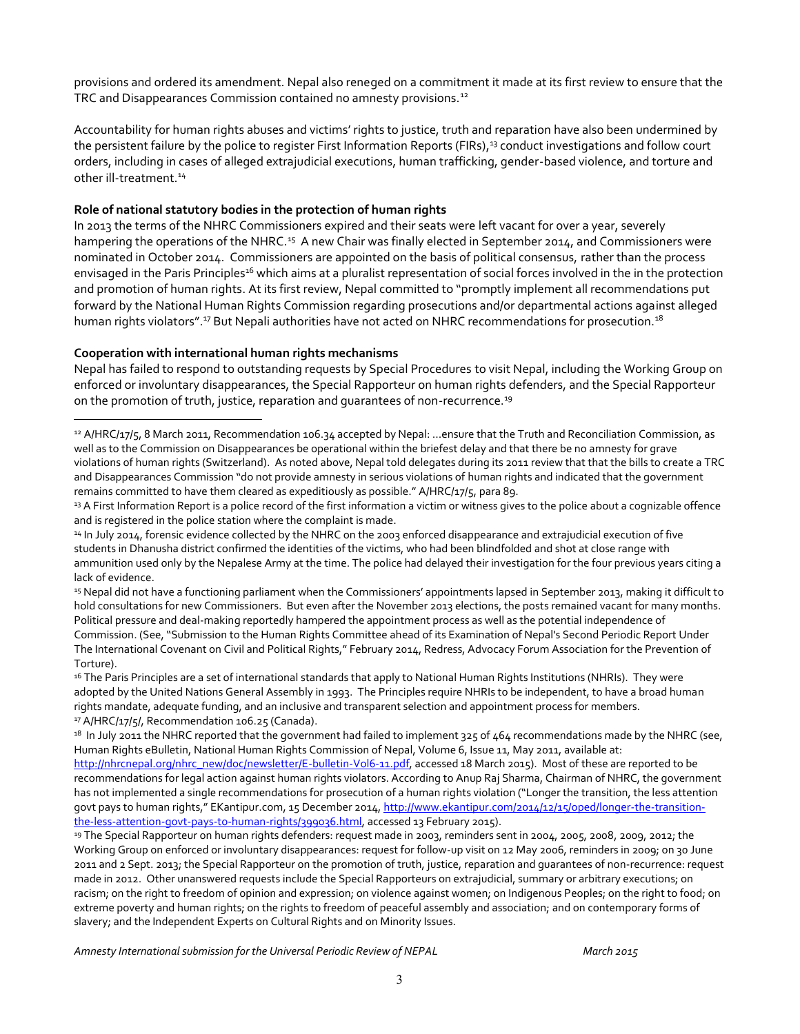provisions and ordered its amendment. Nepal also reneged on a commitment it made at its first review to ensure that the TRC and Disappearances Commission contained no amnesty provisions.<sup>12</sup>

Accountability for human rights abuses and victims' rights to justice, truth and reparation have also been undermined by the persistent failure by the police to register First Information Reports (FIRs),<sup>13</sup> conduct investigations and follow court orders, including in cases of alleged extrajudicial executions, human trafficking, gender-based violence, and torture and other ill-treatment.<sup>14</sup>

#### **Role of national statutory bodies in the protection of human rights**

In 2013 the terms of the NHRC Commissioners expired and their seats were left vacant for over a year, severely hampering the operations of the NHRC.<sup>15</sup> A new Chair was finally elected in September 2014, and Commissioners were nominated in October 2014. Commissioners are appointed on the basis of political consensus, rather than the process envisaged in the Paris Principles<sup>16</sup> which aims at a pluralist representation of social forces involved in the in the protection and promotion of human rights. At its first review, Nepal committed to "promptly implement all recommendations put forward by the National Human Rights Commission regarding prosecutions and/or departmental actions against alleged human rights violators".<sup>17</sup> But Nepali authorities have not acted on NHRC recommendations for prosecution.<sup>18</sup>

#### **Cooperation with international human rights mechanisms**

 $\overline{a}$ 

Nepal has failed to respond to outstanding requests by Special Procedures to visit Nepal, including the Working Group on enforced or involuntary disappearances, the Special Rapporteur on human rights defenders, and the Special Rapporteur on the promotion of truth, justice, reparation and quarantees of non-recurrence.<sup>19</sup>

<sup>13</sup> A First Information Report is a police record of the first information a victim or witness gives to the police about a cognizable offence and is registered in the police station where the complaint is made.

<sup>14</sup> In July 2014, forensic evidence collected by the NHRC on the 2003 enforced disappearance and extrajudicial execution of five students in Dhanusha district confirmed the identities of the victims, who had been blindfolded and shot at close range with ammunition used only by the Nepalese Army at the time. The police had delayed their investigation for the four previous years citing a lack of evidence.

<sup>15</sup> Nepal did not have a functioning parliament when the Commissioners' appointments lapsed in September 2013, making it difficult to hold consultations for new Commissioners. But even after the November 2013 elections, the posts remained vacant for many months. Political pressure and deal-making reportedly hampered the appointment process as well as the potential independence of Commission. (See, "Submission to the Human Rights Committee ahead of its Examination of Nepal's Second Periodic Report Under The International Covenant on Civil and Political Rights," February 2014, Redress, Advocacy Forum Association for the Prevention of Torture).<br><sup>16</sup> The Paris Principles are a set of international standards that apply to National Human Rights Institutions (NHRIs). They were

adopted by the United Nations General Assembly in 1993. The Principles require NHRIs to be independent, to have a broad human rights mandate, adequate funding, and an inclusive and transparent selection and appointment process for members.

<sup>17</sup> A/HRC/17/5/, Recommendation 106.25 (Canada).<br><sup>18</sup> In July 2011 the NHRC reported that the government had failed to implement 325 of 464 recommendations made by the NHRC (see, Human Rights eBulletin, National Human Rights Commission of Nepal, Volume 6, Issue 11, May 2011, available at: http://nhrcnepal.org/nhrc\_new/doc/newsletter/E-bulletin-Vol6-11.pdf, accessed 18 March 2015). Most of these are reported to be recommendations for legal action against human rights violators. According to Anup Raj Sharma, Chairman of NHRC, the government has not implemented a single recommendations for prosecution of a human rights violation ("Longer the transition, the less attention govt pays to human rights," EKantipur.com, 15 December 2014, http://www.ekantipur.com/2014/12/15/oped/longer-the-transitionthe-less-attention-govt-pays-to-human-rights/399036.html, accessed 13 February 2015).

<sup>19</sup> The Special Rapporteur on human rights defenders: request made in 2003, reminders sent in 2004, 2005, 2008, 2009, 2012; the Working Group on enforced or involuntary disappearances: request for follow-up visit on 12 May 2006, reminders in 2009; on 30 June 2011 and 2 Sept. 2013; the Special Rapporteur on the promotion of truth, justice, reparation and guarantees of non-recurrence: request made in 2012. Other unanswered requests include the Special Rapporteurs on extrajudicial, summary or arbitrary executions; on racism; on the right to freedom of opinion and expression; on violence against women; on Indigenous Peoples; on the right to food; on extreme poverty and human rights; on the rights to freedom of peaceful assembly and association; and on contemporary forms of slavery; and the Independent Experts on Cultural Rights and on Minority Issues.

<sup>12</sup> A/HRC/17/5, 8 March 2011, Recommendation 106.34 accepted by Nepal: …ensure that the Truth and Reconciliation Commission, as well as to the Commission on Disappearances be operational within the briefest delay and that there be no amnesty for grave violations of human rights (Switzerland). As noted above, Nepal told delegates during its 2011 review that that the bills to create a TRC and Disappearances Commission "do not provide amnesty in serious violations of human rights and indicated that the government remains committed to have them cleared as expeditiously as possible." A/HRC/17/5, para 89.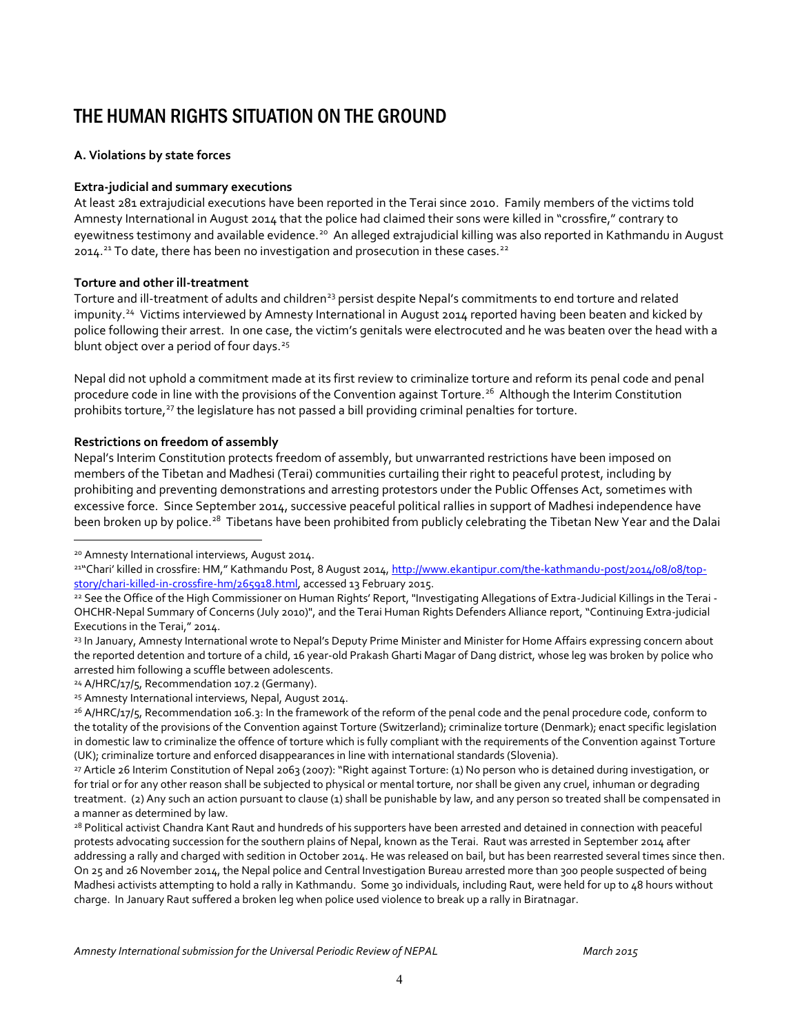# THE HUMAN RIGHTS SITUATION ON THE GROUND

### **A. Violations by state forces**

### **Extra-judicial and summary executions**

At least 281 extrajudicial executions have been reported in the Terai since 2010. Family members of the victims told Amnesty International in August 2014 that the police had claimed their sons were killed in "crossfire," contrary to eyewitness testimony and available evidence.<sup>20</sup> An alleged extrajudicial killing was also reported in Kathmandu in August 2014.<sup>21</sup> To date, there has been no investigation and prosecution in these cases.<sup>22</sup>

#### **Torture and other ill-treatment**

Torture and ill-treatment of adults and children<sup>23</sup> persist despite Nepal's commitments to end torture and related impunity.<sup>24</sup> Victims interviewed by Amnesty International in August 2014 reported having been beaten and kicked by police following their arrest. In one case, the victim's genitals were electrocuted and he was beaten over the head with a blunt object over a period of four days.<sup>25</sup>

Nepal did not uphold a commitment made at its first review to criminalize torture and reform its penal code and penal procedure code in line with the provisions of the Convention against Torture.<sup>26</sup> Although the Interim Constitution prohibits torture,<sup>27</sup> the legislature has not passed a bill providing criminal penalties for torture.

#### **Restrictions on freedom of assembly**

 $\overline{a}$ 

Nepal's Interim Constitution protects freedom of assembly, but unwarranted restrictions have been imposed on members of the Tibetan and Madhesi (Terai) communities curtailing their right to peaceful protest, including by prohibiting and preventing demonstrations and arresting protestors under the Public Offenses Act, sometimes with excessive force. Since September 2014, successive peaceful political rallies in support of Madhesi independence have been broken up by police.<sup>28</sup> Tibetans have been prohibited from publicly celebrating the Tibetan New Year and the Dalai

<sup>20</sup> Amnesty International interviews, August 2014.

<sup>&</sup>lt;sup>21"</sup>Chari' killed in crossfire: HM," Kathmandu Post, 8 August 2014, http://www.ekantipur.com/the-kathmandu-post/2014/08/08/topstory/chari-killed-in-crossfire-hm/265918.html, accessed 13 February 2015.

<sup>&</sup>lt;sup>22</sup> See the Office of the High Commissioner on Human Rights' Report, "Investigating Allegations of Extra-Judicial Killings in the Terai -OHCHR-Nepal Summary of Concerns (July 2010)", and the Terai Human Rights Defenders Alliance report, "Continuing Extra-judicial Executions in the Terai," 2014.

<sup>23</sup> In January, Amnesty International wrote to Nepal's Deputy Prime Minister and Minister for Home Affairs expressing concern about the reported detention and torture of a child, 16 year-old Prakash Gharti Magar of Dang district, whose leg was broken by police who arrested him following a scuffle between adolescents.

<sup>&</sup>lt;sup>24</sup> A/HRC/17/5, Recommendation 107.2 (Germany).

<sup>25</sup> Amnesty International interviews, Nepal, August 2014.

<sup>&</sup>lt;sup>26</sup> A/HRC/17/5, Recommendation 106.3: In the framework of the reform of the penal code and the penal procedure code, conform to the totality of the provisions of the Convention against Torture (Switzerland); criminalize torture (Denmark); enact specific legislation in domestic law to criminalize the offence of torture which is fully compliant with the requirements of the Convention against Torture (UK); criminalize torture and enforced disappearances in line with international standards (Slovenia).

<sup>27</sup> Article 26 Interim Constitution of Nepal 2063 (2007): "Right against Torture: (1) No person who is detained during investigation, or for trial or for any other reason shall be subjected to physical or mental torture, nor shall be given any cruel, inhuman or degrading treatment. (2) Any such an action pursuant to clause (1) shall be punishable by law, and any person so treated shall be compensated in a manner as determined by law.

<sup>&</sup>lt;sup>28</sup> Political activist Chandra Kant Raut and hundreds of his supporters have been arrested and detained in connection with peaceful protests advocating succession for the southern plains of Nepal, known as the Terai. Raut was arrested in September 2014 after addressing a rally and charged with sedition in October 2014. He was released on bail, but has been rearrested several times since then. On 25 and 26 November 2014, the Nepal police and Central Investigation Bureau arrested more than 300 people suspected of being Madhesi activists attempting to hold a rally in Kathmandu. Some 30 individuals, including Raut, were held for up to 48 hours without charge. In January Raut suffered a broken leg when police used violence to break up a rally in Biratnagar.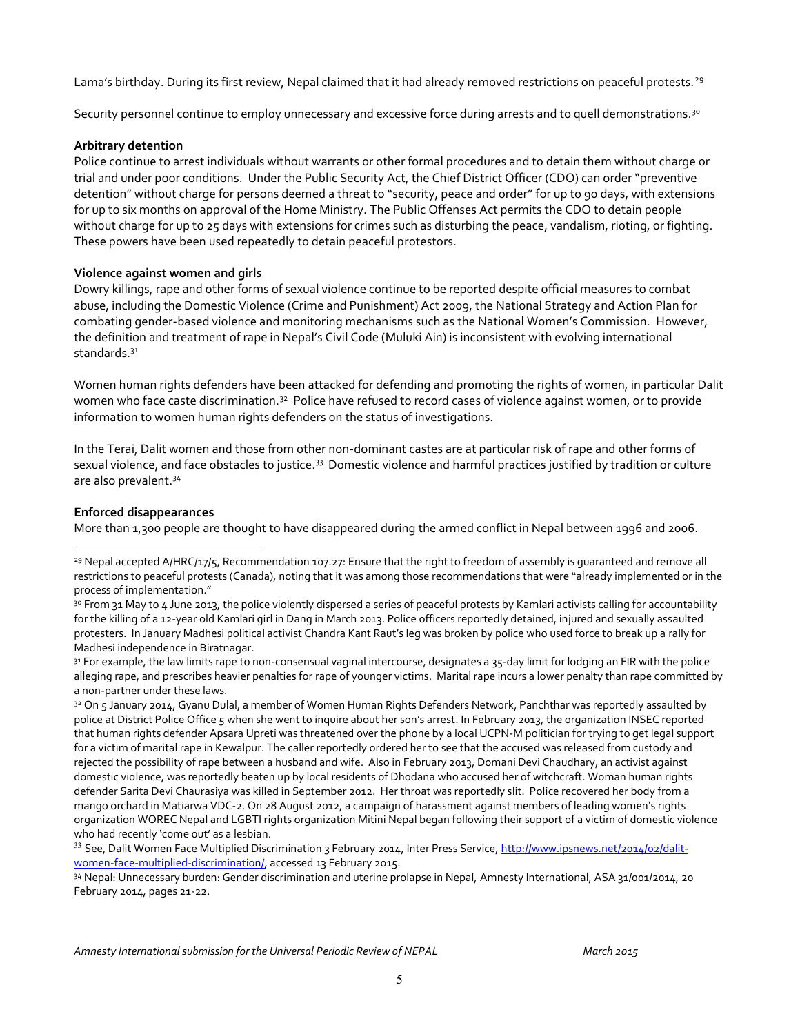Lama's birthday. During its first review, Nepal claimed that it had already removed restrictions on peaceful protests.<sup>29</sup>

Security personnel continue to employ unnecessary and excessive force during arrests and to quell demonstrations.<sup>30</sup>

#### **Arbitrary detention**

Police continue to arrest individuals without warrants or other formal procedures and to detain them without charge or trial and under poor conditions. Under the Public Security Act, the Chief District Officer (CDO) can order "preventive detention" without charge for persons deemed a threat to "security, peace and order" for up to 90 days, with extensions for up to six months on approval of the Home Ministry. The Public Offenses Act permits the CDO to detain people without charge for up to 25 days with extensions for crimes such as disturbing the peace, vandalism, rioting, or fighting. These powers have been used repeatedly to detain peaceful protestors.

#### **Violence against women and girls**

Dowry killings, rape and other forms of sexual violence continue to be reported despite official measures to combat abuse, including the Domestic Violence (Crime and Punishment) Act 2009, the National Strategy and Action Plan for combating gender-based violence and monitoring mechanisms such as the National Women's Commission. However, the definition and treatment of rape in Nepal's Civil Code (Muluki Ain) is inconsistent with evolving international standards.31

Women human rights defenders have been attacked for defending and promoting the rights of women, in particular Dalit women who face caste discrimination.<sup>32</sup> Police have refused to record cases of violence against women, or to provide information to women human rights defenders on the status of investigations.

In the Terai, Dalit women and those from other non-dominant castes are at particular risk of rape and other forms of sexual violence, and face obstacles to justice.<sup>33</sup> Domestic violence and harmful practices justified by tradition or culture are also prevalent.<sup>34</sup>

#### **Enforced disappearances**

 $\overline{a}$ 

More than 1,300 people are thought to have disappeared during the armed conflict in Nepal between 1996 and 2006.

34 Nepal: Unnecessary burden: Gender discrimination and uterine prolapse in Nepal, Amnesty International, ASA 31/001/2014, 20 February 2014, pages 21-22.

<sup>&</sup>lt;sup>29</sup> Nepal accepted A/HRC/17/5, Recommendation 107.27: Ensure that the right to freedom of assembly is quaranteed and remove all restrictions to peaceful protests (Canada), noting that it was among those recommendations that were "already implemented or in the process of implementation."

<sup>3</sup>º From 31 May to 4 June 2013, the police violently dispersed a series of peaceful protests by Kamlari activists calling for accountability for the killing of a 12-year old Kamlari girl in Dang in March 2013. Police officers reportedly detained, injured and sexually assaulted protesters. In January Madhesi political activist Chandra Kant Raut's leg was broken by police who used force to break up a rally for Madhesi independence in Biratnagar.

<sup>31</sup> For example, the law limits rape to non-consensual vaginal intercourse, designates a 35-day limit for lodging an FIR with the police alleging rape, and prescribes heavier penalties for rape of younger victims. Marital rape incurs a lower penalty than rape committed by a non-partner under these laws.

<sup>32</sup> On 5 January 2014, Gyanu Dulal, a member of Women Human Rights Defenders Network, Panchthar was reportedly assaulted by police at District Police Office 5 when she went to inquire about her son's arrest. In February 2013, the organization INSEC reported that human rights defender Apsara Upreti was threatened over the phone by a local UCPN-M politician for trying to get legal support for a victim of marital rape in Kewalpur. The caller reportedly ordered her to see that the accused was released from custody and rejected the possibility of rape between a husband and wife. Also in February 2013, Domani Devi Chaudhary, an activist against domestic violence, was reportedly beaten up by local residents of Dhodana who accused her of witchcraft. Woman human rights defender Sarita Devi Chaurasiya was killed in September 2012. Her throat was reportedly slit. Police recovered her body from a mango orchard in Matiarwa VDC-2. On 28 August 2012, a campaign of harassment against members of leading women's rights organization WOREC Nepal and LGBTI rights organization Mitini Nepal began following their support of a victim of domestic violence who had recently 'come out' as a lesbian.

<sup>33</sup> See, Dalit Women Face Multiplied Discrimination 3 February 2014, Inter Press Service, http://www.ipsnews.net/2014/02/dalitwomen-face-multiplied-discrimination/, accessed 13 February 2015.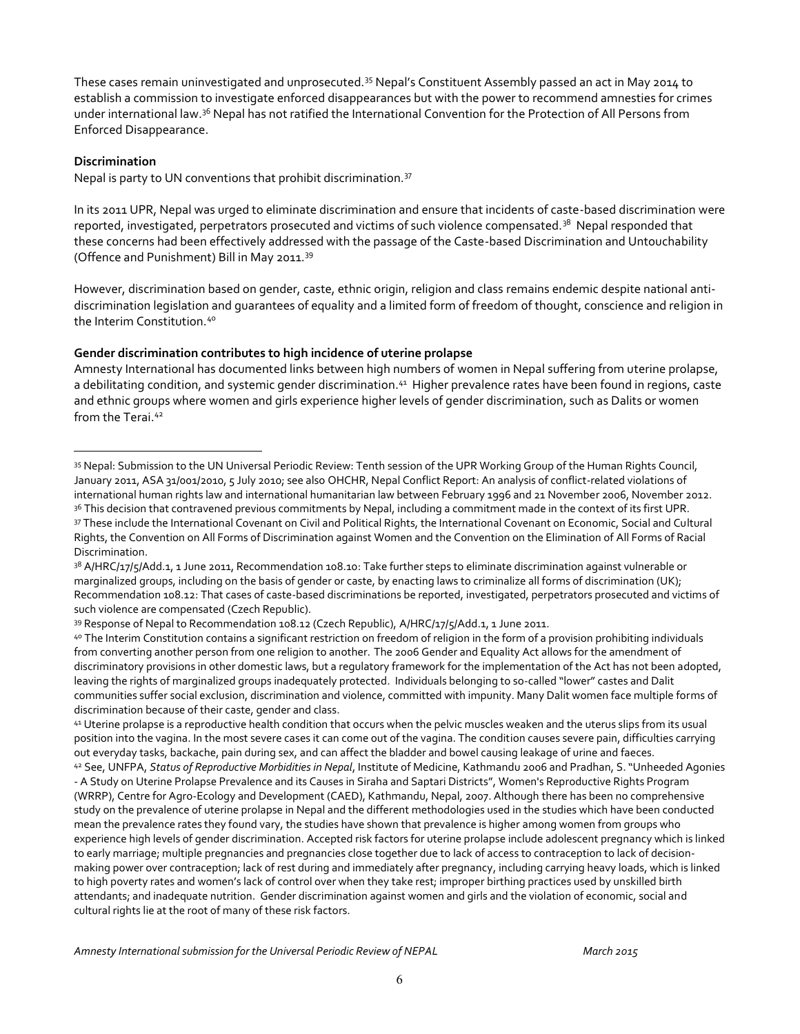These cases remain uninvestigated and unprosecuted.35 Nepal's Constituent Assembly passed an act in May 2014 to establish a commission to investigate enforced disappearances but with the power to recommend amnesties for crimes under international law.<sup>36</sup> Nepal has not ratified the International Convention for the Protection of All Persons from Enforced Disappearance.

#### **Discrimination**

 $\overline{a}$ 

Nepal is party to UN conventions that prohibit discrimination.37

In its 2011 UPR, Nepal was urged to eliminate discrimination and ensure that incidents of caste-based discrimination were reported, investigated, perpetrators prosecuted and victims of such violence compensated.<sup>38</sup> Nepal responded that these concerns had been effectively addressed with the passage of the Caste-based Discrimination and Untouchability (Offence and Punishment) Bill in May 2011.39

However, discrimination based on gender, caste, ethnic origin, religion and class remains endemic despite national antidiscrimination legislation and guarantees of equality and a limited form of freedom of thought, conscience and religion in the Interim Constitution.40

#### **Gender discrimination contributes to high incidence of uterine prolapse**

Amnesty International has documented links between high numbers of women in Nepal suffering from uterine prolapse, a debilitating condition, and systemic gender discrimination.<sup>41</sup> Higher prevalence rates have been found in regions, caste and ethnic groups where women and girls experience higher levels of gender discrimination, such as Dalits or women from the Terai.<sup>42</sup>

<sup>41</sup> Uterine prolapse is a reproductive health condition that occurs when the pelvic muscles weaken and the uterus slips from its usual position into the vagina. In the most severe cases it can come out of the vagina. The condition causes severe pain, difficulties carrying out everyday tasks, backache, pain during sex, and can affect the bladder and bowel causing leakage of urine and faeces. <sup>42</sup> See, UNFPA, *Status of Reproductive Morbidities in Nepal*, Institute of Medicine, Kathmandu 2006 and Pradhan, S. "Unheeded Agonies - A Study on Uterine Prolapse Prevalence and its Causes in Siraha and Saptari Districts", Women's Reproductive Rights Program (WRRP), Centre for Agro-Ecology and Development (CAED), Kathmandu, Nepal, 2007. Although there has been no comprehensive study on the prevalence of uterine prolapse in Nepal and the different methodologies used in the studies which have been conducted mean the prevalence rates they found vary, the studies have shown that prevalence is higher among women from groups who experience high levels of gender discrimination. Accepted risk factors for uterine prolapse include adolescent pregnancy which is linked to early marriage; multiple pregnancies and pregnancies close together due to lack of access to contraception to lack of decisionmaking power over contraception; lack of rest during and immediately after pregnancy, including carrying heavy loads, which is linked to high poverty rates and women's lack of control over when they take rest; improper birthing practices used by unskilled birth attendants; and inadequate nutrition. Gender discrimination against women and girls and the violation of economic, social and cultural rights lie at the root of many of these risk factors.

<sup>35</sup> Nepal: Submission to the UN Universal Periodic Review: Tenth session of the UPR Working Group of the Human Rights Council, January 2011, ASA 31/001/2010, 5 July 2010; see also OHCHR, Nepal Conflict Report: An analysis of conflict-related violations of international human rights law and international humanitarian law between February 1996 and 21 November 2006, November 2012. 36 This decision that contravened previous commitments by Nepal, including a commitment made in the context of its first UPR.

<sup>37</sup> These include the International Covenant on Civil and Political Rights, the International Covenant on Economic, Social and Cultural Rights, the Convention on All Forms of Discrimination against Women and the Convention on the Elimination of All Forms of Racial Discrimination.

<sup>&</sup>lt;sup>38</sup> A/HRC/17/5/Add.1, 1 June 2011, Recommendation 108.10: Take further steps to eliminate discrimination against vulnerable or marginalized groups, including on the basis of gender or caste, by enacting laws to criminalize all forms of discrimination (UK); Recommendation 108.12: That cases of caste-based discriminations be reported, investigated, perpetrators prosecuted and victims of such violence are compensated (Czech Republic).

<sup>39</sup> Response of Nepal to Recommendation 108.12 (Czech Republic), A/HRC/17/5/Add.1, 1 June 2011.

<sup>4</sup>º The Interim Constitution contains a significant restriction on freedom of religion in the form of a provision prohibiting individuals from converting another person from one religion to another. The 2006 Gender and Equality Act allows for the amendment of discriminatory provisions in other domestic laws, but a regulatory framework for the implementation of the Act has not been adopted, leaving the rights of marginalized groups inadequately protected. Individuals belonging to so-called "lower" castes and Dalit communities suffer social exclusion, discrimination and violence, committed with impunity. Many Dalit women face multiple forms of discrimination because of their caste, gender and class.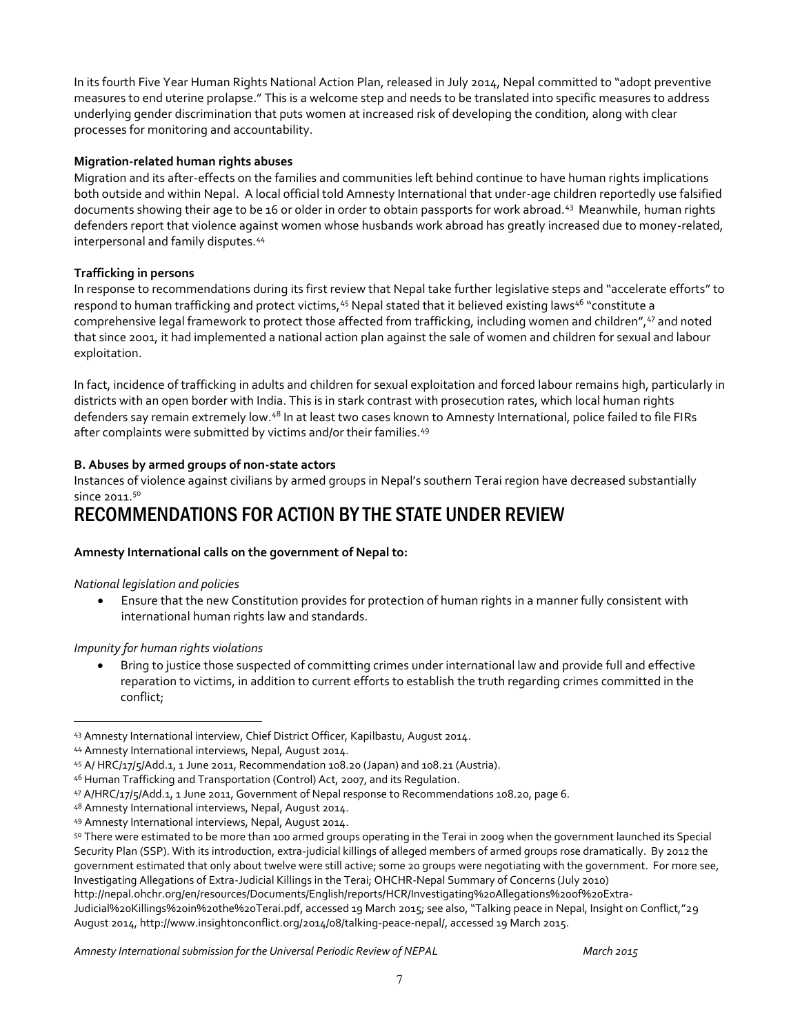In its fourth Five Year Human Rights National Action Plan, released in July 2014, Nepal committed to "adopt preventive measures to end uterine prolapse." This is a welcome step and needs to be translated into specific measures to address underlying gender discrimination that puts women at increased risk of developing the condition, along with clear processes for monitoring and accountability.

#### **Migration-related human rights abuses**

Migration and its after-effects on the families and communities left behind continue to have human rights implications both outside and within Nepal. A local official told Amnesty International that under-age children reportedly use falsified documents showing their age to be 16 or older in order to obtain passports for work abroad.43 Meanwhile, human rights defenders report that violence against women whose husbands work abroad has greatly increased due to money-related, interpersonal and family disputes.44

#### **Trafficking in persons**

In response to recommendations during its first review that Nepal take further legislative steps and "accelerate efforts" to respond to human trafficking and protect victims, <sup>45</sup> Nepal stated that it believed existing laws<sup>46</sup> "constitute a comprehensive legal framework to protect those affected from trafficking, including women and children", <sup>47</sup> and noted that since 2001, it had implemented a national action plan against the sale of women and children for sexual and labour exploitation.

In fact, incidence of trafficking in adults and children for sexual exploitation and forced labour remains high, particularly in districts with an open border with India. This is in stark contrast with prosecution rates, which local human rights defenders say remain extremely low.<sup>48</sup> In at least two cases known to Amnesty International, police failed to file FIRs after complaints were submitted by victims and/or their families.<sup>49</sup>

#### **B. Abuses by armed groups of non-state actors**

Instances of violence against civilians by armed groups in Nepal's southern Terai region have decreased substantially since 2011.<sup>50</sup>

# RECOMMENDATIONS FOR ACTION BY THE STATE UNDER REVIEW

#### **Amnesty International calls on the government of Nepal to:**

#### *National legislation and policies*

 $\overline{a}$ 

• Ensure that the new Constitution provides for protection of human rights in a manner fully consistent with international human rights law and standards.

#### *Impunity for human rights violations*

Bring to justice those suspected of committing crimes under international law and provide full and effective reparation to victims, in addition to current efforts to establish the truth regarding crimes committed in the conflict;

<sup>43</sup> Amnesty International interview, Chief District Officer, Kapilbastu, August 2014.

<sup>44</sup> Amnesty International interviews, Nepal, August 2014.

<sup>45</sup> A/ HRC/17/5/Add.1, 1 June 2011, Recommendation 108.20 (Japan) and 108.21 (Austria).

<sup>46</sup> Human Trafficking and Transportation (Control) Act, 2007, and its Regulation.

<sup>47</sup> A/HRC/17/5/Add.1, 1 June 2011, Government of Nepal response to Recommendations 108.20, page 6.

<sup>48</sup> Amnesty International interviews, Nepal, August 2014.

<sup>49</sup> Amnesty International interviews, Nepal, August 2014.

<sup>50</sup> There were estimated to be more than 100 armed groups operating in the Terai in 2009 when the government launched its Special Security Plan (SSP). With its introduction, extra-judicial killings of alleged members of armed groups rose dramatically. By 2012 the government estimated that only about twelve were still active; some 20 groups were negotiating with the government. For more see, Investigating Allegations of Extra-Judicial Killings in the Terai; OHCHR-Nepal Summary of Concerns (July 2010)

http://nepal.ohchr.org/en/resources/Documents/English/reports/HCR/Investigating%20Allegations%20of%20Extra-

Judicial%20Killings%20in%20the%20Terai.pdf, accessed 19 March 2015; see also, "Talking peace in Nepal, Insight on Conflict,"29 August 2014, http://www.insightonconflict.org/2014/08/talking-peace-nepal/, accessed 19 March 2015.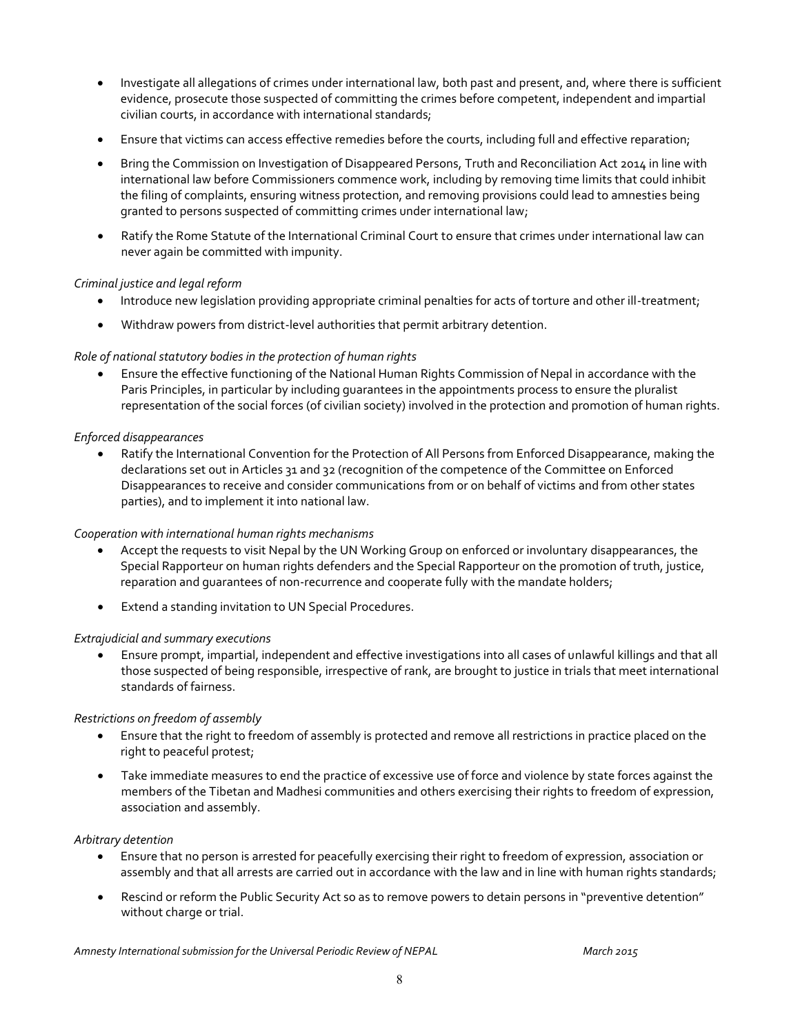- x Investigate all allegations of crimes under international law, both past and present, and, where there is sufficient evidence, prosecute those suspected of committing the crimes before competent, independent and impartial civilian courts, in accordance with international standards;
- **•** Ensure that victims can access effective remedies before the courts, including full and effective reparation;
- Bring the Commission on Investigation of Disappeared Persons, Truth and Reconciliation Act 2014 in line with international law before Commissioners commence work, including by removing time limits that could inhibit the filing of complaints, ensuring witness protection, and removing provisions could lead to amnesties being granted to persons suspected of committing crimes under international law;
- x Ratify the Rome Statute of the International Criminal Court to ensure that crimes under international law can never again be committed with impunity.

#### *Criminal justice and legal reform*

- Introduce new legislation providing appropriate criminal penalties for acts of torture and other ill-treatment;
- Withdraw powers from district-level authorities that permit arbitrary detention.

#### *Role of national statutory bodies in the protection of human rights*

Ensure the effective functioning of the National Human Rights Commission of Nepal in accordance with the Paris Principles, in particular by including guarantees in the appointments process to ensure the pluralist representation of the social forces (of civilian society) involved in the protection and promotion of human rights.

#### *Enforced disappearances*

x Ratify the International Convention for the Protection of All Persons from Enforced Disappearance, making the declarations set out in Articles 31 and 32 (recognition of the competence of the Committee on Enforced Disappearances to receive and consider communications from or on behalf of victims and from other states parties), and to implement it into national law.

#### *Cooperation with international human rights mechanisms*

- Accept the requests to visit Nepal by the UN Working Group on enforced or involuntary disappearances, the Special Rapporteur on human rights defenders and the Special Rapporteur on the promotion of truth, justice, reparation and guarantees of non-recurrence and cooperate fully with the mandate holders;
- **•** Extend a standing invitation to UN Special Procedures.

#### *Extrajudicial and summary executions*

x Ensure prompt, impartial, independent and effective investigations into all cases of unlawful killings and that all those suspected of being responsible, irrespective of rank, are brought to justice in trials that meet international standards of fairness.

#### *Restrictions on freedom of assembly*

- **Ensure that the right to freedom of assembly is protected and remove all restrictions in practice placed on the** right to peaceful protest;
- Take immediate measures to end the practice of excessive use of force and violence by state forces against the members of the Tibetan and Madhesi communities and others exercising their rights to freedom of expression, association and assembly.

#### *Arbitrary detention*

- x Ensure that no person is arrested for peacefully exercising their right to freedom of expression, association or assembly and that all arrests are carried out in accordance with the law and in line with human rights standards;
- Rescind or reform the Public Security Act so as to remove powers to detain persons in "preventive detention" without charge or trial.